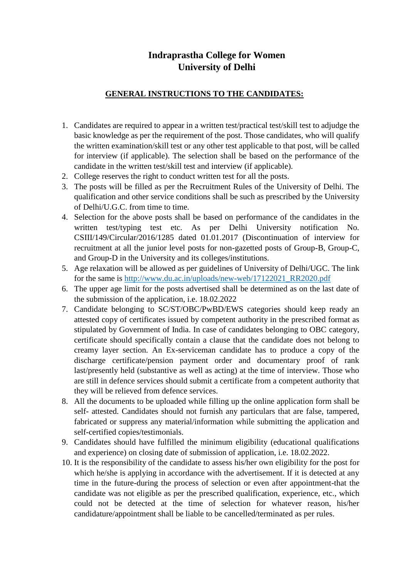## **Indraprastha College for Women University of Delhi**

## **GENERAL INSTRUCTIONS TO THE CANDIDATES:**

- 1. Candidates are required to appear in a written test/practical test/skill test to adjudge the basic knowledge as per the requirement of the post. Those candidates, who will qualify the written examination/skill test or any other test applicable to that post, will be called for interview (if applicable). The selection shall be based on the performance of the candidate in the written test/skill test and interview (if applicable).
- 2. College reserves the right to conduct written test for all the posts.
- 3. The posts will be filled as per the Recruitment Rules of the University of Delhi. The qualification and other service conditions shall be such as prescribed by the University of Delhi/U.G.C. from time to time.
- 4. Selection for the above posts shall be based on performance of the candidates in the written test/typing test etc. As per Delhi University notification No. CSIII/149/Circular/2016/1285 dated 01.01.2017 (Discontinuation of interview for recruitment at all the junior level posts for non-gazetted posts of Group-B, Group-C, and Group-D in the University and its colleges/institutions.
- 5. Age relaxation will be allowed as per guidelines of University of Delhi/UGC. The link for the same is [http://www.du.ac.in/uploads/new-web/17122021\\_RR2020.pdf](http://www.du.ac.in/uploads/new-web/17122021_RR2020.pdf)
- 6. The upper age limit for the posts advertised shall be determined as on the last date of the submission of the application, i.e. 18.02.2022
- 7. Candidate belonging to SC/ST/OBC/PwBD/EWS categories should keep ready an attested copy of certificates issued by competent authority in the prescribed format as stipulated by Government of India. In case of candidates belonging to OBC category, certificate should specifically contain a clause that the candidate does not belong to creamy layer section. An Ex-serviceman candidate has to produce a copy of the discharge certificate/pension payment order and documentary proof of rank last/presently held (substantive as well as acting) at the time of interview. Those who are still in defence services should submit a certificate from a competent authority that they will be relieved from defence services.
- 8. All the documents to be uploaded while filling up the online application form shall be self- attested. Candidates should not furnish any particulars that are false, tampered, fabricated or suppress any material/information while submitting the application and self-certified copies/testimonials.
- 9. Candidates should have fulfilled the minimum eligibility (educational qualifications and experience) on closing date of submission of application, i.e. 18.02.2022.
- 10. It is the responsibility of the candidate to assess his/her own eligibility for the post for which he/she is applying in accordance with the advertisement. If it is detected at any time in the future-during the process of selection or even after appointment-that the candidate was not eligible as per the prescribed qualification, experience, etc., which could not be detected at the time of selection for whatever reason, his/her candidature/appointment shall be liable to be cancelled/terminated as per rules.